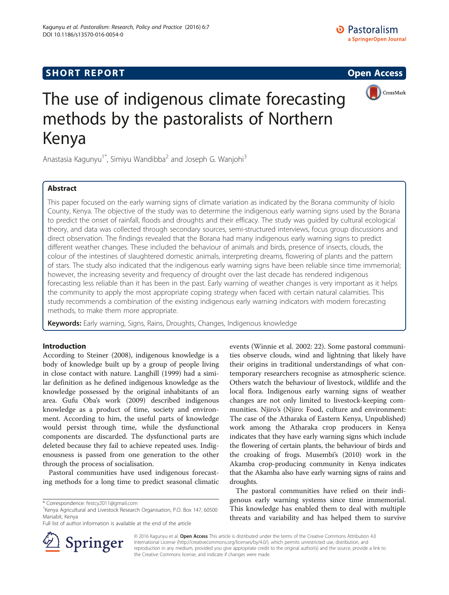# **SHORT REPORT SHORT CONSUMING THE SHORT CONSUMING THE SHORT CONSUMING THE SHORT CONSUMING THE SHORT CONSUMING THE SHORT CONSUMING THE SHORT CONSUMING THE SHORT CONSUMING THE SHORT CONSUMING THE SHORT CONSUMING THE SHORT**





# The use of indigenous climate forecasting methods by the pastoralists of Northern Kenya

Anastasia Kagunyu<sup>1\*</sup>, Simiyu Wandibba<sup>2</sup> and Joseph G. Wanjohi<sup>3</sup>

# Abstract

This paper focused on the early warning signs of climate variation as indicated by the Borana community of Isiolo County, Kenya. The objective of the study was to determine the indigenous early warning signs used by the Borana to predict the onset of rainfall, floods and droughts and their efficacy. The study was guided by cultural ecological theory, and data was collected through secondary sources, semi-structured interviews, focus group discussions and direct observation. The findings revealed that the Borana had many indigenous early warning signs to predict different weather changes. These included the behaviour of animals and birds, presence of insects, clouds, the colour of the intestines of slaughtered domestic animals, interpreting dreams, flowering of plants and the pattern of stars. The study also indicated that the indigenous early warning signs have been reliable since time immemorial; however, the increasing severity and frequency of drought over the last decade has rendered indigenous forecasting less reliable than it has been in the past. Early warning of weather changes is very important as it helps the community to apply the most appropriate coping strategy when faced with certain natural calamities. This study recommends a combination of the existing indigenous early warning indicators with modern forecasting methods, to make them more appropriate.

Keywords: Early warning, Signs, Rains, Droughts, Changes, Indigenous knowledge

# Introduction

According to Steiner ([2008\)](#page-5-0), indigenous knowledge is a body of knowledge built up by a group of people living in close contact with nature. Langhill ([1999](#page-5-0)) had a similar definition as he defined indigenous knowledge as the knowledge possessed by the original inhabitants of an area. Gufu Oba's work [\(2009](#page-5-0)) described indigenous knowledge as a product of time, society and environment. According to him, the useful parts of knowledge would persist through time, while the dysfunctional components are discarded. The dysfunctional parts are deleted because they fail to achieve repeated uses. Indigenousness is passed from one generation to the other through the process of socialisation.

Pastoral communities have used indigenous forecasting methods for a long time to predict seasonal climatic

Full list of author information is available at the end of the article

events (Winnie et al. [2002:](#page-5-0) 22). Some pastoral communities observe clouds, wind and lightning that likely have their origins in traditional understandings of what contemporary researchers recognise as atmospheric science. Others watch the behaviour of livestock, wildlife and the local flora. Indigenous early warning signs of weather changes are not only limited to livestock-keeping communities. Njiro's (Njiro: Food, culture and environment: The case of the Atharaka of Eastern Kenya, Unpublished) work among the Atharaka crop producers in Kenya indicates that they have early warning signs which include the flowering of certain plants, the behaviour of birds and the croaking of frogs. Musembi's [\(2010\)](#page-5-0) work in the Akamba crop-producing community in Kenya indicates that the Akamba also have early warning signs of rains and droughts.

The pastoral communities have relied on their indigenous early warning systems since time immemorial. This knowledge has enabled them to deal with multiple threats and variability and has helped them to survive



© 2016 Kagunyu et al. Open Access This article is distributed under the terms of the Creative Commons Attribution 4.0 International License ([http://creativecommons.org/licenses/by/4.0/\)](http://creativecommons.org/licenses/by/4.0/), which permits unrestricted use, distribution, and reproduction in any medium, provided you give appropriate credit to the original author(s) and the source, provide a link to the Creative Commons license, and indicate if changes were made.

<sup>\*</sup> Correspondence: [festcy2011@gmail.com](mailto:festcy2011@gmail.com) <sup>1</sup>

<sup>&</sup>lt;sup>1</sup> Kenya Agricultural and Livestock Research Organisation, P.O. Box 147, 60500 Marsabit, Kenya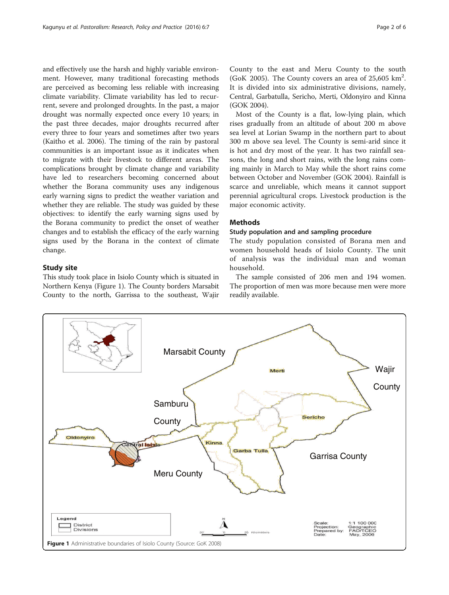and effectively use the harsh and highly variable environment. However, many traditional forecasting methods are perceived as becoming less reliable with increasing climate variability. Climate variability has led to recurrent, severe and prolonged droughts. In the past, a major drought was normally expected once every 10 years; in the past three decades, major droughts recurred after every three to four years and sometimes after two years (Kaitho et al. [2006](#page-5-0)). The timing of the rain by pastoral communities is an important issue as it indicates when to migrate with their livestock to different areas. The complications brought by climate change and variability have led to researchers becoming concerned about whether the Borana community uses any indigenous early warning signs to predict the weather variation and whether they are reliable. The study was guided by these objectives: to identify the early warning signs used by the Borana community to predict the onset of weather changes and to establish the efficacy of the early warning signs used by the Borana in the context of climate change.

# Study site

This study took place in Isiolo County which is situated in Northern Kenya (Figure 1). The County borders Marsabit County to the north, Garrissa to the southeast, Wajir County to the east and Meru County to the south (GoK [2005\)](#page-5-0). The County covers an area of 25,605 km<sup>2</sup>. It is divided into six administrative divisions, namely, Central, Garbatulla, Sericho, Merti, Oldonyiro and Kinna (GOK [2004\)](#page-5-0).

Most of the County is a flat, low-lying plain, which rises gradually from an altitude of about 200 m above sea level at Lorian Swamp in the northern part to about 300 m above sea level. The County is semi-arid since it is hot and dry most of the year. It has two rainfall seasons, the long and short rains, with the long rains coming mainly in March to May while the short rains come between October and November (GOK [2004\)](#page-5-0). Rainfall is scarce and unreliable, which means it cannot support perennial agricultural crops. Livestock production is the major economic activity.

#### Methods

#### Study population and and sampling procedure

The study population consisted of Borana men and women household heads of Isiolo County. The unit of analysis was the individual man and woman household.

The sample consisted of 206 men and 194 women. The proportion of men was more because men were more readily available.

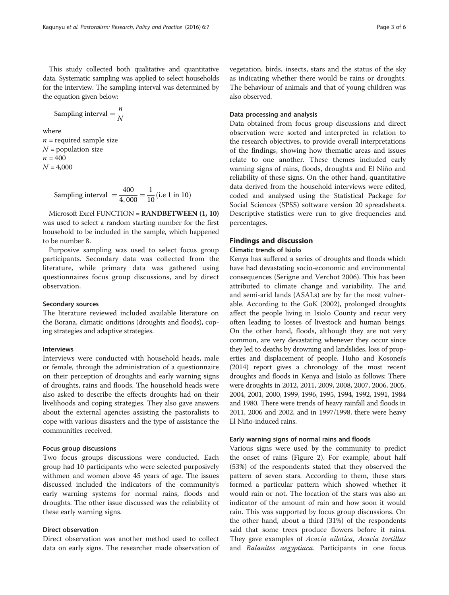This study collected both qualitative and quantitative data. Systematic sampling was applied to select households for the interview. The sampling interval was determined by the equation given below:

Sampling interval = 
$$
\frac{n}{N}
$$

where

 $n$  = required sample size  $N =$  population size  $n = 400$  $N = 4,000$ 

Sampling interval  $=$   $\frac{400}{4,000}$   $=$   $\frac{1}{10}$  (i.e 1 in 10)

Microsoft Excel FUNCTION = RANDBETWEEN (1, 10) was used to select a random starting number for the first household to be included in the sample, which happened to be number 8.

Purposive sampling was used to select focus group participants. Secondary data was collected from the literature, while primary data was gathered using questionnaires focus group discussions, and by direct observation.

#### Secondary sources

The literature reviewed included available literature on the Borana, climatic onditions (droughts and floods), coping strategies and adaptive strategies.

#### Interviews

Interviews were conducted with household heads, male or female, through the administration of a questionnaire on their perception of droughts and early warning signs of droughts, rains and floods. The household heads were also asked to describe the effects droughts had on their livelihoods and coping strategies. They also gave answers about the external agencies assisting the pastoralists to cope with various disasters and the type of assistance the communities received.

# Focus group discussions

Two focus groups discussions were conducted. Each group had 10 participants who were selected purposively withmen and women above 45 years of age. The issues discussed included the indicators of the community's early warning systems for normal rains, floods and droughts. The other issue discussed was the reliability of these early warning signs.

#### Direct observation

Direct observation was another method used to collect data on early signs. The researcher made observation of vegetation, birds, insects, stars and the status of the sky as indicating whether there would be rains or droughts. The behaviour of animals and that of young children was also observed.

#### Data processing and analysis

Data obtained from focus group discussions and direct observation were sorted and interpreted in relation to the research objectives, to provide overall interpretations of the findings, showing how thematic areas and issues relate to one another. These themes included early warning signs of rains, floods, droughts and El Niño and reliability of these signs. On the other hand, quantitative data derived from the household interviews were edited, coded and analysed using the Statistical Package for Social Sciences (SPSS) software version 20 spreadsheets. Descriptive statistics were run to give frequencies and percentages.

#### Findings and discussion

# Climatic trends of Isiolo

Kenya has suffered a series of droughts and floods which have had devastating socio-economic and environmental consequences (Serigne and Verchot [2006](#page-5-0)). This has been attributed to climate change and variability. The arid and semi-arid lands (ASALs) are by far the most vulnerable. According to the GoK [\(2002\)](#page-5-0), prolonged droughts affect the people living in Isiolo County and recur very often leading to losses of livestock and human beings. On the other hand, floods, although they are not very common, are very devastating whenever they occur since they led to deaths by drowning and landslides, loss of properties and displacement of people. Huho and Kosonei's ([2014\)](#page-5-0) report gives a chronology of the most recent droughts and floods in Kenya and Isiolo as follows: There were droughts in 2012, 2011, 2009, 2008, 2007, 2006, 2005, 2004, 2001, 2000, 1999, 1996, 1995, 1994, 1992, 1991, 1984 and 1980. There were trends of heavy rainfall and floods in 2011, 2006 and 2002, and in 1997/1998, there were heavy El Niño-induced rains.

#### Early warning signs of normal rains and floods

Various signs were used by the community to predict the onset of rains (Figure [2\)](#page-3-0). For example, about half (53%) of the respondents stated that they observed the pattern of seven stars. According to them, these stars formed a particular pattern which showed whether it would rain or not. The location of the stars was also an indicator of the amount of rain and how soon it would rain. This was supported by focus group discussions. On the other hand, about a third (31%) of the respondents said that some trees produce flowers before it rains. They gave examples of Acacia nilotica, Acacia tortillas and Balanites aegyptiaca. Participants in one focus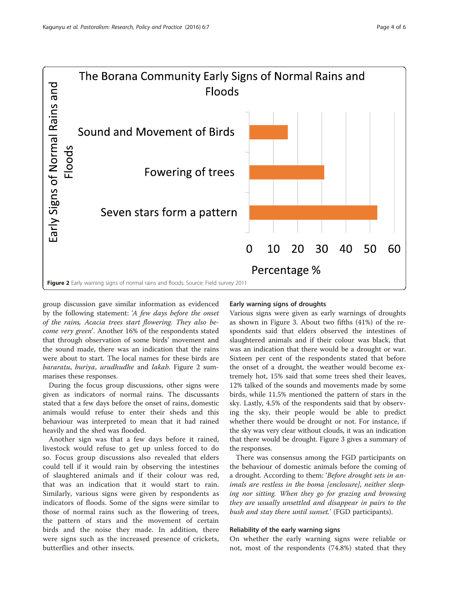<span id="page-3-0"></span>

group discussion gave similar information as evidenced by the following statement: 'A few days before the onset of the rains, Acacia trees start flowering. They also become very green'. Another 16% of the respondents stated that through observation of some birds' movement and the sound made, there was an indication that the rains were about to start. The local names for these birds are bararatu, buriya, urudhudhe and lakab. Figure 2 summarises these responses.

During the focus group discussions, other signs were given as indicators of normal rains. The discussants stated that a few days before the onset of rains, domestic animals would refuse to enter their sheds and this behaviour was interpreted to mean that it had rained heavily and the shed was flooded.

Another sign was that a few days before it rained, livestock would refuse to get up unless forced to do so. Focus group discussions also revealed that elders could tell if it would rain by observing the intestines of slaughtered animals and if their colour was red, that was an indication that it would start to rain. Similarly, various signs were given by respondents as indicators of floods. Some of the signs were similar to those of normal rains such as the flowering of trees, the pattern of stars and the movement of certain birds and the noise they made. In addition, there were signs such as the increased presence of crickets, butterflies and other insects.

# Early warning signs of droughts

Various signs were given as early warnings of droughts as shown in Figure [3](#page-4-0). About two fifths (41%) of the respondents said that elders observed the intestines of slaughtered animals and if their colour was black, that was an indication that there would be a drought or war. Sixteen per cent of the respondents stated that before the onset of a drought, the weather would become extremely hot, 15% said that some trees shed their leaves, 12% talked of the sounds and movements made by some birds, while 11.5% mentioned the pattern of stars in the sky. Lastly, 4.5% of the respondents said that by observing the sky, their people would be able to predict whether there would be drought or not. For instance, if the sky was very clear without clouds, it was an indication that there would be drought. Figure [3](#page-4-0) gives a summary of the responses.

There was consensus among the FGD participants on the behaviour of domestic animals before the coming of a drought. According to them: 'Before drought sets in animals are restless in the boma [enclosure], neither sleeping nor sitting. When they go for grazing and browsing they are usually unsettled and disappear in pairs to the bush and stay there until sunset.' (FGD participants).

#### Reliability of the early warning signs

On whether the early warning signs were reliable or not, most of the respondents (74.8%) stated that they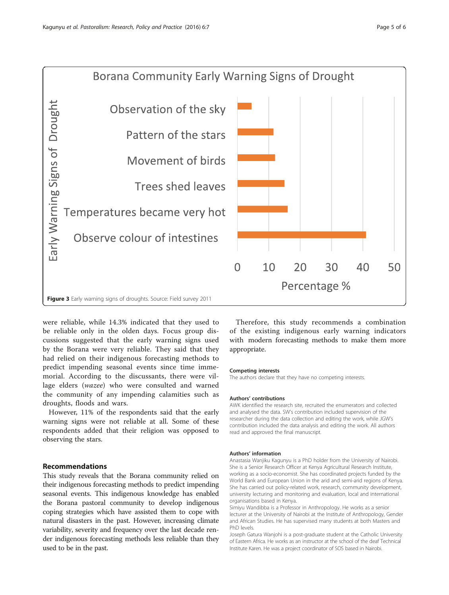<span id="page-4-0"></span>

were reliable, while 14.3% indicated that they used to be reliable only in the olden days. Focus group discussions suggested that the early warning signs used by the Borana were very reliable. They said that they had relied on their indigenous forecasting methods to predict impending seasonal events since time immemorial. According to the discussants, there were village elders (wazee) who were consulted and warned the community of any impending calamities such as droughts, floods and wars.

However, 11% of the respondents said that the early warning signs were not reliable at all. Some of these respondents added that their religion was opposed to observing the stars.

# Recommendations

This study reveals that the Borana community relied on their indigenous forecasting methods to predict impending seasonal events. This indigenous knowledge has enabled the Borana pastoral community to develop indigenous coping strategies which have assisted them to cope with natural disasters in the past. However, increasing climate variability, severity and frequency over the last decade render indigenous forecasting methods less reliable than they used to be in the past.

Therefore, this study recommends a combination of the existing indigenous early warning indicators with modern forecasting methods to make them more appropriate.

#### Competing interests

The authors declare that they have no competing interests.

#### Authors' contributions

AWK identified the research site, recruited the enumerators and collected and analysed the data. SW's contribution included supervision of the researcher during the data collection and editing the work, while JGW's contribution included the data analysis and editing the work. All authors read and approved the final manuscript.

#### Authors' information

Anastasia Wanjiku Kagunyu is a PhD holder from the University of Nairobi. She is a Senior Research Officer at Kenya Agricultural Research Institute, working as a socio-economist. She has coordinated projects funded by the World Bank and European Union in the arid and semi-arid regions of Kenya. She has carried out policy-related work, research, community development, university lecturing and monitoring and evaluation, local and international organisations based in Kenya.

Simiyu Wandibba is a Professor in Anthropology. He works as a senior lecturer at the University of Nairobi at the Institute of Anthropology, Gender and African Studies. He has supervised many students at both Masters and PhD levels.

Joseph Gatura Wanjohi is a post-graduate student at the Catholic University of Eastern Africa. He works as an instructor at the school of the deaf Technical Institute Karen. He was a project coordinator of SOS based in Nairobi.